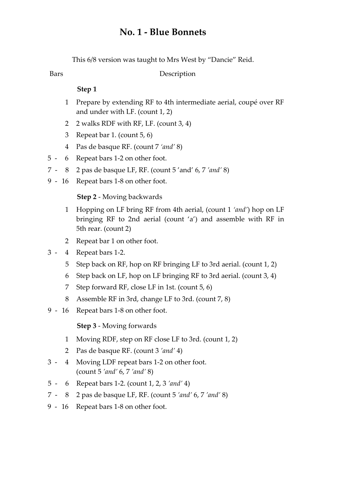# **No. 1 ‐ Blue Bonnets**

This 6/8 version was taught to Mrs West by "Dancie" Reid.

Bars Description

### **Step 1**

- Prepare by extending RF to 4th intermediate aerial, coupé over RF and under with LF. (count 1, 2) 1
- 2 2 walks RDF with RF, LF. (count 3, 4)
- 3 Repeat bar 1. (count 5, 6)
- 4 Pas de basque RF. (count 7 *'and'* 8)
- 5 6 Repeat bars 1-2 on other foot.
- 7 ‐ 8 2 pas de basque LF, RF. (count 5 'and' 6, 7 *'and'* 8)
- 9 16 Repeat bars 1-8 on other foot.

## **Step 2** ‐ Moving backwards

- Hopping on LF bring RF from 4th aerial, (count 1 *'and'*) hop on LF bringing RF to 2nd aerial (count 'a') and assemble with RF in 5th rear. (count 2) 1
- 2 Repeat bar 1 on other foot.
- 3 ‐ 4 Repeat bars 1‐2.
	- 5 Step back on RF, hop on RF bringing LF to 3rd aerial. (count 1, 2)
	- 6 Step back on LF, hop on LF bringing RF to 3rd aerial. (count 3, 4)
	- 7 Step forward RF, close LF in 1st. (count 5, 6)
	- 8 Assemble RF in 3rd, change LF to 3rd. (count 7, 8)
- 9 16 Repeat bars 1-8 on other foot.

**Step 3** ‐ Moving forwards

- 1 Moving RDF, step on RF close LF to 3rd. (count 1, 2)
- 2 Pas de basque RF. (count 3 *'and'* 4)
- Moving LDF repeat bars 1‐2 on other foot. (count 5 *'and'* 6, 7 *'and'* 8)  $3 - 4$
- 5 ‐ 6 Repeat bars 1‐2. (count 1, 2, 3 *'and'* 4)
- 7 ‐ 8 2 pas de basque LF, RF. (count 5 *'and'* 6, 7 *'and'* 8)
- 9 16 Repeat bars 1-8 on other foot.